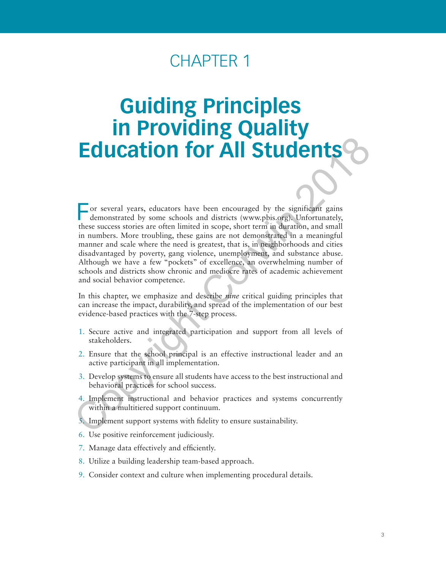## CHAPTER 1

# **Guiding Principles in Providing Quality Education for All Students**

For several years, educators have been encouraged by the significant gains demonstrated by some schools and districts (www.pbis.org). Unfortunately, these success stories are often limited in scope, short term in duration, and small in numbers. More troubling, these gains are not demonstrated in a meaningful manner and scale where the need is greatest, that is, in neighborhoods and cities disadvantaged by poverty, gang violence, unemployment, and substance abuse. Although we have a few "pockets" of excellence, an overwhelming number of schools and districts show chronic and mediocre rates of academic achievement and social behavior competence. **Education for Service** the measure and districts (www.phis.org),<br>The consistent of the serves seconds and districts (www.phis.org), Unfortunately,<br>these success stories are often limited in scope, short term in duration,

In this chapter, we emphasize and describe *nine* critical guiding principles that can increase the impact, durability, and spread of the implementation of our best evidence-based practices with the 7-step process.

- 1. Secure active and integrated participation and support from all levels of stakeholders.
- 2. Ensure that the school principal is an effective instructional leader and an active participant in all implementation.
- 3. Develop systems to ensure all students have access to the best instructional and behavioral practices for school success.
- 4. Implement instructional and behavior practices and systems concurrently within a multitiered support continuum.
- 5. Implement support systems with fidelity to ensure sustainability.
- 6. Use positive reinforcement judiciously.
- 7. Manage data effectively and efficiently.
- 8. Utilize a building leadership team-based approach.
- 9. Consider context and culture when implementing procedural details.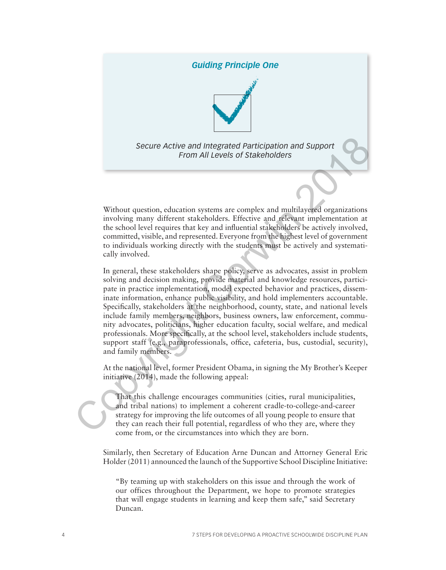#### *Guiding Principle One*



*Secure Active and Integrated Participation and Support From All Levels of Stakeholders*

Without question, education systems are complex and multilayered organizations involving many different stakeholders. Effective and relevant implementation at the school level requires that key and influential stakeholders be actively involved, committed, visible, and represented. Everyone from the highest level of government to individuals working directly with the students must be actively and systematically involved.

In general, these stakeholders shape policy, serve as advocates, assist in problem solving and decision making, provide material and knowledge resources, participate in practice implementation, model expected behavior and practices, disseminate information, enhance public visibility, and hold implementers accountable. Specifically, stakeholders at the neighborhood, county, state, and national levels include family members, neighbors, business owners, law enforcement, community advocates, politicians, higher education faculty, social welfare, and medical professionals. More specifically, at the school level, stakeholders include students, support staff (e.g., paraprofessionals, office, cafeteria, bus, custodial, security), and family members. Secure Active and Integrated Participation and Support<br>
From All Levels of Stakeholders<br>
From All Levels of Stakeholders<br>
Without question, education systems are complex and multilayered organizations<br>
involving many diffe

At the national level, former President Obama, in signing the My Brother's Keeper initiative (2014), made the following appeal:

That this challenge encourages communities (cities, rural municipalities, and tribal nations) to implement a coherent cradle-to-college-and-career strategy for improving the life outcomes of all young people to ensure that they can reach their full potential, regardless of who they are, where they come from, or the circumstances into which they are born.

Similarly, then Secretary of Education Arne Duncan and Attorney General Eric Holder (2011) announced the launch of the Supportive School Discipline Initiative:

"By teaming up with stakeholders on this issue and through the work of our offices throughout the Department, we hope to promote strategies that will engage students in learning and keep them safe," said Secretary Duncan.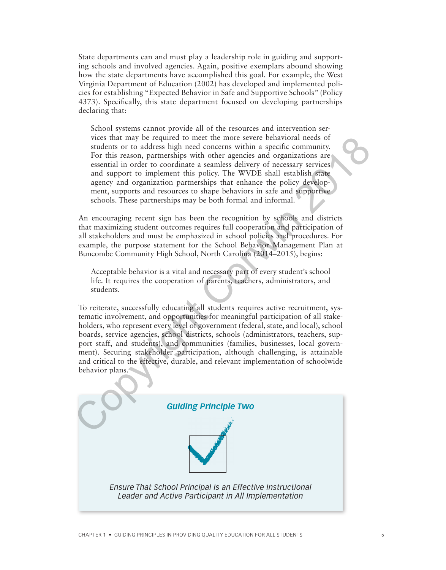State departments can and must play a leadership role in guiding and supporting schools and involved agencies. Again, positive exemplars abound showing how the state departments have accomplished this goal. For example, the West Virginia Department of Education (2002) has developed and implemented policies for establishing "Expected Behavior in Safe and Supportive Schools" (Policy 4373). Specifically, this state department focused on developing partnerships declaring that:

School systems cannot provide all of the resources and intervention services that may be required to meet the more severe behavioral needs of students or to address high need concerns within a specific community. For this reason, partnerships with other agencies and organizations are essential in order to coordinate a seamless delivery of necessary services and support to implement this policy. The WVDE shall establish state agency and organization partnerships that enhance the policy development, supports and resources to shape behaviors in safe and supportive schools. These partnerships may be both formal and informal.

An encouraging recent sign has been the recognition by schools and districts that maximizing student outcomes requires full cooperation and participation of all stakeholders and must be emphasized in school policies and procedures. For example, the purpose statement for the School Behavior Management Plan at Buncombe Community High School, North Carolina (2014–2015), begins:

Acceptable behavior is a vital and necessary part of every student's school life. It requires the cooperation of parents, teachers, administrators, and students.

To reiterate, successfully educating all students requires active recruitment, systematic involvement, and opportunities for meaningful participation of all stakeholders, who represent every level of government (federal, state, and local), school boards, service agencies, school districts, schools (administrators, teachers, support staff, and students), and communities (families, businesses, local government). Securing stakeholder participation, although challenging, is attainable and critical to the effective, durable, and relevant implementation of schoolwide behavior plans. vices that may be required to meet the more essere behavioral needs<br>for the stellar and properties such as stellar community.<br>For this reason, partnerships with other agreeds and organizations are<br>essential in order to coo

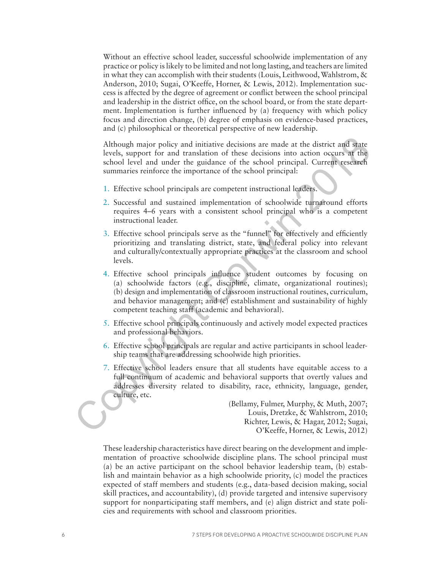Without an effective school leader, successful schoolwide implementation of any practice or policy is likely to be limited and not long lasting, and teachers are limited in what they can accomplish with their students (Louis, Leithwood, Wahlstrom, & Anderson, 2010; Sugai, O'Keeffe, Horner, & Lewis, 2012). Implementation success is affected by the degree of agreement or conflict between the school principal and leadership in the district office, on the school board, or from the state department. Implementation is further influenced by (a) frequency with which policy focus and direction change, (b) degree of emphasis on evidence-based practices, and (c) philosophical or theoretical perspective of new leadership.

Although major policy and initiative decisions are made at the district and state levels, support for and translation of these decisions into action occurs at the school level and under the guidance of the school principal. Current research summaries reinforce the importance of the school principal:

- 1. Effective school principals are competent instructional leaders.
- 2. Successful and sustained implementation of schoolwide turnaround efforts requires 4–6 years with a consistent school principal who is a competent instructional leader.
- 3. Effective school principals serve as the "funnel" for effectively and efficiently prioritizing and translating district, state, and federal policy into relevant and culturally/contextually appropriate practices at the classroom and school levels.
- 4. Effective school principals influence student outcomes by focusing on (a) schoolwide factors (e.g., discipline, climate, organizational routines); (b) design and implementation of classroom instructional routines, curriculum, and behavior management; and (c) establishment and sustainability of highly competent teaching staff (academic and behavioral). Although major policy and initiative decisions are made at the district and state<br>
levels, support for and translation of these decisions into action occurs at the<br>
school level and under the guidance of the school princip
	- 5. Effective school principals continuously and actively model expected practices and professional behaviors.
	- 6. Effective school principals are regular and active participants in school leadership teams that are addressing schoolwide high priorities.
	- 7. Effective school leaders ensure that all students have equitable access to a full continuum of academic and behavioral supports that overtly values and addresses diversity related to disability, race, ethnicity, language, gender, culture, etc.

(Bellamy, Fulmer, Murphy, & Muth, 2007; Louis, Dretzke, & Wahlstrom, 2010; Richter, Lewis, & Hagar, 2012; Sugai, O'Keeffe, Horner, & Lewis, 2012)

These leadership characteristics have direct bearing on the development and implementation of proactive schoolwide discipline plans. The school principal must (a) be an active participant on the school behavior leadership team, (b) establish and maintain behavior as a high schoolwide priority, (c) model the practices expected of staff members and students (e.g., data-based decision making, social skill practices, and accountability), (d) provide targeted and intensive supervisory support for nonparticipating staff members, and (e) align district and state policies and requirements with school and classroom priorities.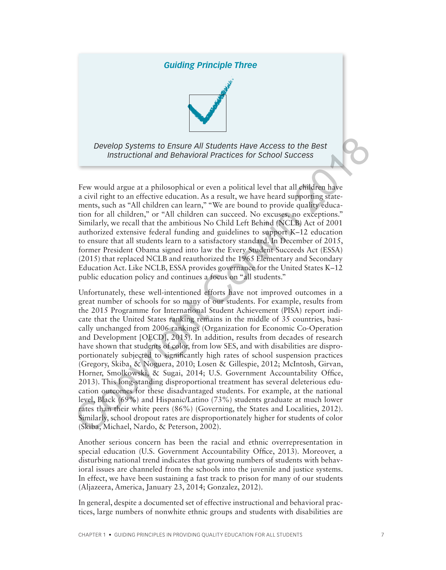## *Guiding Principle Three*



*Develop Systems to Ensure All Students Have Access to the Best Instructional and Behavioral Practices for School Success*

Few would argue at a philosophical or even a political level that all children have a civil right to an effective education. As a result, we have heard supporting statements, such as "All children can learn," "We are bound to provide quality education for all children," or "All children can succeed. No excuses, no exceptions." Similarly, we recall that the ambitious No Child Left Behind (NCLB) Act of 2001 authorized extensive federal funding and guidelines to support K–12 education to ensure that all students learn to a satisfactory standard. In December of 2015, former President Obama signed into law the Every Student Succeeds Act (ESSA) (2015) that replaced NCLB and reauthorized the 1965 Elementary and Secondary Education Act. Like NCLB, ESSA provides governance for the United States K–12 public education policy and continues a focus on "all students."

Unfortunately, these well-intentioned efforts have not improved outcomes in a great number of schools for so many of our students. For example, results from the 2015 Programme for International Student Achievement (PISA) report indicate that the United States ranking remains in the middle of 35 countries, basically unchanged from 2006 rankings (Organization for Economic Co-Operation and Development [OECD], 2015). In addition, results from decades of research have shown that students of color, from low SES, and with disabilities are disproportionately subjected to significantly high rates of school suspension practices (Gregory, Skiba, & Noguera, 2010; Losen & Gillespie, 2012; McIntosh, Girvan, Horner, Smolkowski, & Sugai, 2014; U.S. Government Accountability Office, 2013). This long-standing disproportional treatment has several deleterious education outcomes for these disadvantaged students. For example, at the national level, Black (69%) and Hispanic/Latino (73%) students graduate at much lower rates than their white peers (86%) (Governing, the States and Localities, 2012). Similarly, school dropout rates are disproportionately higher for students of color (Skiba, Michael, Nardo, & Peterson, 2002). Develop Systems to Ensure All Students Have Access to the Best<br>
Instructional and Behavioral Practices for School Success<br>
Few would argue at a philosophical or even a political level that all effidere have<br>
a civil right

Another serious concern has been the racial and ethnic overrepresentation in special education (U.S. Government Accountability Office, 2013). Moreover, a disturbing national trend indicates that growing numbers of students with behavioral issues are channeled from the schools into the juvenile and justice systems. In effect, we have been sustaining a fast track to prison for many of our students (Aljazeera, America, January 23, 2014; Gonzalez, 2012).

In general, despite a documented set of effective instructional and behavioral practices, large numbers of nonwhite ethnic groups and students with disabilities are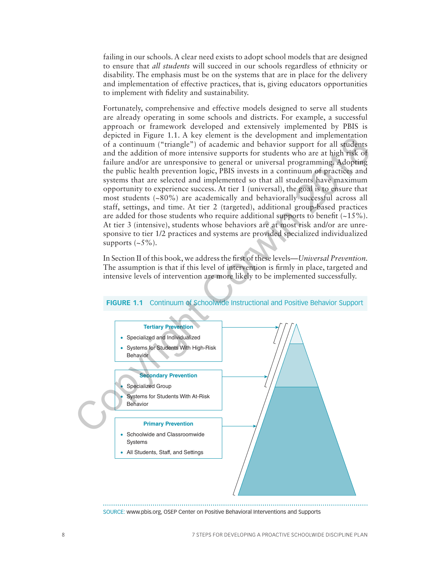failing in our schools. A clear need exists to adopt school models that are designed to ensure that *all students* will succeed in our schools regardless of ethnicity or disability. The emphasis must be on the systems that are in place for the delivery and implementation of effective practices, that is, giving educators opportunities to implement with fidelity and sustainability.

Fortunately, comprehensive and effective models designed to serve all students are already operating in some schools and districts. For example, a successful approach or framework developed and extensively implemented by PBIS is depicted in Figure 1.1. A key element is the development and implementation of a continuum ("triangle") of academic and behavior support for all students and the addition of more intensive supports for students who are at high risk of failure and/or are unresponsive to general or universal programming. Adopting the public health prevention logic, PBIS invests in a continuum of practices and systems that are selected and implemented so that all students have maximum opportunity to experience success. At tier 1 (universal), the goal is to ensure that most students (~80%) are academically and behaviorally successful across all staff, settings, and time. At tier 2 (targeted), additional group-based practices are added for those students who require additional supports to benefit  $(-15\%)$ . At tier 3 (intensive), students whose behaviors are at most risk and/or are unresponsive to tier 1/2 practices and systems are provided specialized individualized supports  $(-5\%)$ .

In Section II of this book, we address the first of these levels—*Universal Prevention.*  The assumption is that if this level of intervention is firmly in place, targeted and intensive levels of intervention are more likely to be implemented successfully.



#### **FIGURE 1.1** Continuum of Schoolwide Instructional and Positive Behavior Support

SOURCE: www.pbis.org, OSEP Center on Positive Behavioral Interventions and Supports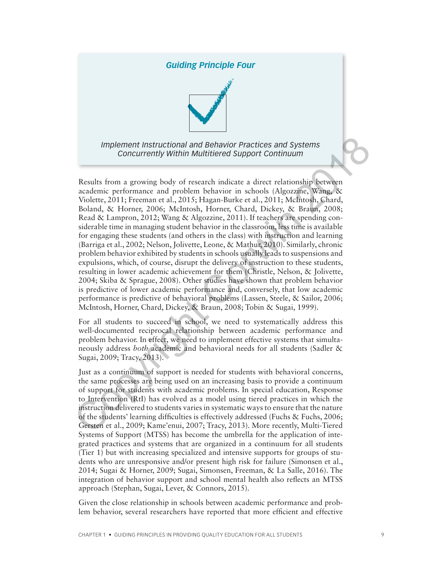## *Guiding Principle Four*



*Implement Instructional and Behavior Practices and Systems Concurrently Within Multitiered Support Continuum*

Results from a growing body of research indicate a direct relationship between academic performance and problem behavior in schools (Algozzine, Wang, & Violette, 2011; Freeman et al., 2015; Hagan-Burke et al., 2011; McIntosh, Chard, Boland, & Horner, 2006; McIntosh, Horner, Chard, Dickey, & Braun, 2008; Read & Lampron, 2012; Wang & Algozzine, 2011). If teachers are spending considerable time in managing student behavior in the classroom, less time is available for engaging these students (and others in the class) with instruction and learning (Barriga et al., 2002; Nelson, Jolivette, Leone, & Mathur, 2010). Similarly, chronic problem behavior exhibited by students in schools usually leads to suspensions and expulsions, which, of course, disrupt the delivery of instruction to these students, resulting in lower academic achievement for them (Christle, Nelson, & Jolivette, 2004; Skiba & Sprague, 2008). Other studies have shown that problem behavior is predictive of lower academic performance and, conversely, that low academic performance is predictive of behavioral problems (Lassen, Steele, & Sailor, 2006; McIntosh, Horner, Chard, Dickey, & Braun, 2008; Tobin & Sugai, 1999). Implement Instructional and Behavior Practices and Systems<br>
Concurrently Within Multitiered Support Continuum<br>
Results from a growing body of research indicate a direct relationship between<br>
academic performance and proble

For all students to succeed in school, we need to systematically address this well-documented reciprocal relationship between academic performance and problem behavior. In effect, we need to implement effective systems that simultaneously address *both* academic and behavioral needs for all students (Sadler & Sugai, 2009; Tracy, 2013).

Just as a continuum of support is needed for students with behavioral concerns, the same processes are being used on an increasing basis to provide a continuum of support for students with academic problems. In special education, Response to Intervention (RtI) has evolved as a model using tiered practices in which the instruction delivered to students varies in systematic ways to ensure that the nature of the students' learning difficulties is effectively addressed (Fuchs & Fuchs, 2006; Gersten et al., 2009; Kame'enui, 2007; Tracy, 2013). More recently, Multi-Tiered Systems of Support (MTSS) has become the umbrella for the application of integrated practices and systems that are organized in a continuum for all students (Tier 1) but with increasing specialized and intensive supports for groups of students who are unresponsive and/or present high risk for failure (Simonsen et al., 2014; Sugai & Horner, 2009; Sugai, Simonsen, Freeman, & La Salle, 2016). The integration of behavior support and school mental health also reflects an MTSS approach (Stephan, Sugai, Lever, & Connors, 2015).

Given the close relationship in schools between academic performance and problem behavior, several researchers have reported that more efficient and effective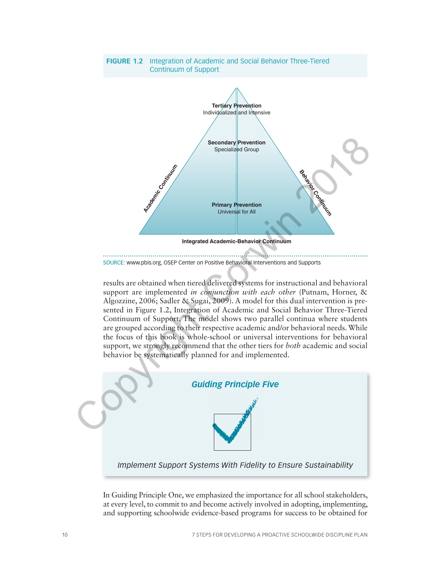

SOURCE: www.pbis.org, OSEP Center on Positive Behavioral Interventions and Supports

results are obtained when tiered delivered systems for instructional and behavioral support are implemented *in conjunction with each other* (Putnam, Horner, & Algozzine, 2006; Sadler & Sugai, 2009). A model for this dual intervention is presented in Figure 1.2, Integration of Academic and Social Behavior Three-Tiered Continuum of Support. The model shows two parallel continua where students are grouped according to their respective academic and/or behavioral needs. While the focus of this book is whole-school or universal interventions for behavioral support, we strongly recommend that the other tiers for *both* academic and social behavior be systematically planned for and implemented.



In Guiding Principle One, we emphasized the importance for all school stakeholders, at every level, to commit to and become actively involved in adopting, implementing, and supporting schoolwide evidence-based programs for success to be obtained for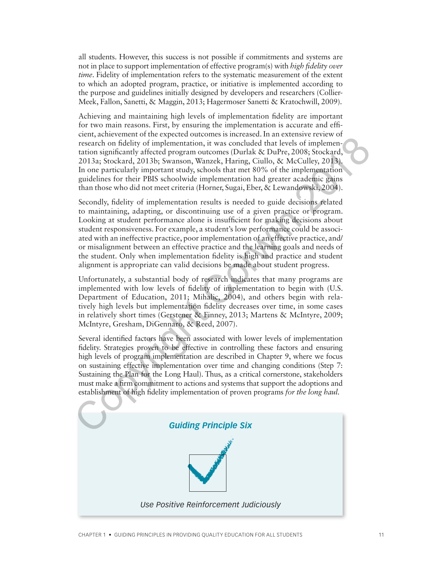all students. However, this success is not possible if commitments and systems are not in place to support implementation of effective program(s) with *high fidelity over time*. Fidelity of implementation refers to the systematic measurement of the extent to which an adopted program, practice, or initiative is implemented according to the purpose and guidelines initially designed by developers and researchers (Collier-Meek, Fallon, Sanetti, & Maggin, 2013; Hagermoser Sanetti & Kratochwill, 2009).

Achieving and maintaining high levels of implementation fidelity are important for two main reasons. First, by ensuring the implementation is accurate and efficient, achievement of the expected outcomes is increased. In an extensive review of research on fidelity of implementation, it was concluded that levels of implementation significantly affected program outcomes (Durlak & DuPre, 2008; Stockard, 2013a; Stockard, 2013b; Swanson, Wanzek, Haring, Ciullo, & McCulley, 2013). In one particularly important study, schools that met 80% of the implementation guidelines for their PBIS schoolwide implementation had greater academic gains than those who did not meet criteria (Horner, Sugai, Eber, & Lewandowski, 2004).

Secondly, fidelity of implementation results is needed to guide decisions related to maintaining, adapting, or discontinuing use of a given practice or program. Looking at student performance alone is insufficient for making decisions about student responsiveness. For example, a student's low performance could be associated with an ineffective practice, poor implementation of an effective practice, and/ or misalignment between an effective practice and the learning goals and needs of the student. Only when implementation fidelity is high and practice and student alignment is appropriate can valid decisions be made about student progress. exactivity of respective to the experimentation, it was concluded that levels of implementation and respectively inferred program outcomes (Durlak & Durler<sub>C</sub> 2008); Stockard, 2013; Stockard, 2013; Stockard, 2013; Stockard

Unfortunately, a substantial body of research indicates that many programs are implemented with low levels of fidelity of implementation to begin with (U.S. Department of Education, 2011; Mihalic, 2004), and others begin with relatively high levels but implementation fidelity decreases over time, in some cases in relatively short times (Gerstener & Finney, 2013; Martens & McIntyre, 2009; McIntyre, Gresham, DiGennaro, & Reed, 2007).

Several identified factors have been associated with lower levels of implementation fidelity. Strategies proven to be effective in controlling these factors and ensuring high levels of program implementation are described in Chapter 9, where we focus on sustaining effective implementation over time and changing conditions (Step 7: Sustaining the Plan for the Long Haul). Thus, as a critical cornerstone, stakeholders must make a firm commitment to actions and systems that support the adoptions and establishment of high fidelity implementation of proven programs *for the long haul*.

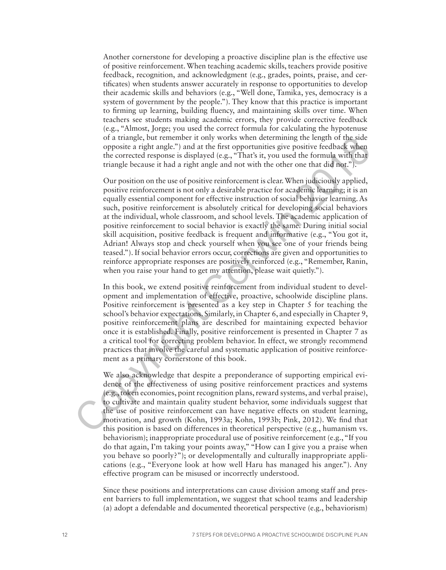Another cornerstone for developing a proactive discipline plan is the effective use of positive reinforcement. When teaching academic skills, teachers provide positive feedback, recognition, and acknowledgment (e.g., grades, points, praise, and certificates) when students answer accurately in response to opportunities to develop their academic skills and behaviors (e.g., "Well done, Tamika, yes, democracy is a system of government by the people."). They know that this practice is important to firming up learning, building fluency, and maintaining skills over time. When teachers see students making academic errors, they provide corrective feedback (e.g., "Almost, Jorge; you used the correct formula for calculating the hypotenuse of a triangle, but remember it only works when determining the length of the side opposite a right angle.") and at the first opportunities give positive feedback when the corrected response is displayed (e.g., "That's it, you used the formula with that triangle because it had a right angle and not with the other one that did not.").

Our position on the use of positive reinforcement is clear. When judiciously applied, positive reinforcement is not only a desirable practice for academic learning; it is an equally essential component for effective instruction of social behavior learning. As such, positive reinforcement is absolutely critical for developing social behaviors at the individual, whole classroom, and school levels. The academic application of positive reinforcement to social behavior is exactly the same. During initial social skill acquisition, positive feedback is frequent and informative (e.g., "You got it, Adrian! Always stop and check yourself when you see one of your friends being teased."). If social behavior errors occur, corrections are given and opportunities to reinforce appropriate responses are positively reinforced (e.g., "Remember, Ranin, when you raise your hand to get my attention, please wait quietly."). or a triangle, but remember it rolly works when decremining the length of the side<br>of particular eright angle.<sup>30</sup>) and at the first opportunities give positive feedback when<br>the corrected response is displayed (e.g., "Th

In this book, we extend positive reinforcement from individual student to development and implementation of effective, proactive, schoolwide discipline plans. Positive reinforcement is presented as a key step in Chapter 5 for teaching the school's behavior expectations. Similarly, in Chapter 6, and especially in Chapter 9, positive reinforcement plans are described for maintaining expected behavior once it is established. Finally, positive reinforcement is presented in Chapter 7 as a critical tool for correcting problem behavior. In effect, we strongly recommend practices that involve the careful and systematic application of positive reinforcement as a primary cornerstone of this book.

We also acknowledge that despite a preponderance of supporting empirical evidence of the effectiveness of using positive reinforcement practices and systems (e.g., token economies, point recognition plans, reward systems, and verbal praise), to cultivate and maintain quality student behavior, some individuals suggest that the use of positive reinforcement can have negative effects on student learning, motivation, and growth (Kohn, 1993a; Kohn, 1993b; Pink, 2012). We find that this position is based on differences in theoretical perspective (e.g., humanism vs. behaviorism); inappropriate procedural use of positive reinforcement (e.g., "If you do that again, I'm taking your points away," "How can I give you a praise when you behave so poorly?"); or developmentally and culturally inappropriate applications (e.g., "Everyone look at how well Haru has managed his anger."). Any effective program can be misused or incorrectly understood.

Since these positions and interpretations can cause division among staff and present barriers to full implementation, we suggest that school teams and leadership (a) adopt a defendable and documented theoretical perspective (e.g., behaviorism)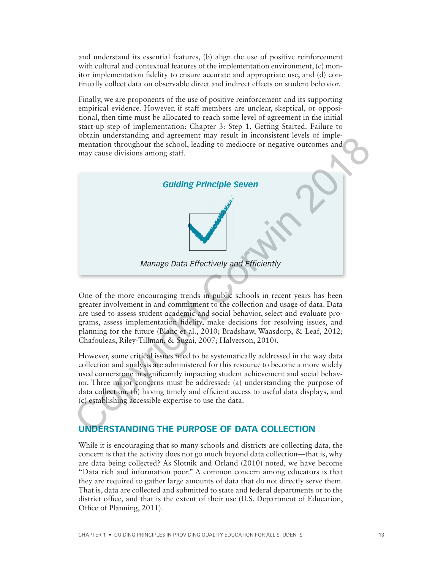and understand its essential features, (b) align the use of positive reinforcement with cultural and contextual features of the implementation environment, (c) monitor implementation fidelity to ensure accurate and appropriate use, and (d) continually collect data on observable direct and indirect effects on student behavior.

Finally, we are proponents of the use of positive reinforcement and its supporting empirical evidence. However, if staff members are unclear, skeptical, or oppositional, then time must be allocated to reach some level of agreement in the initial start-up step of implementation: Chapter 3: Step 1, Getting Started. Failure to obtain understanding and agreement may result in inconsistent levels of implementation throughout the school, leading to mediocre or negative outcomes and may cause divisions among staff.



One of the more encouraging trends in public schools in recent years has been greater involvement in and commitment to the collection and usage of data. Data are used to assess student academic and social behavior, select and evaluate programs, assess implementation fidelity, make decisions for resolving issues, and planning for the future (Blanc et al., 2010; Bradshaw, Waasdorp, & Leaf, 2012; Chafouleas, Riley-Tillman, & Sugai, 2007; Halverson, 2010).

However, some critical issues need to be systematically addressed in the way data collection and analysis are administered for this resource to become a more widely used cornerstone in significantly impacting student achievement and social behavior. Three major concerns must be addressed: (a) understanding the purpose of data collection, (b) having timely and efficient access to useful data displays, and (c) establishing accessible expertise to use the data.

## **UNDERSTANDING THE PURPOSE OF DATA COLLECTION**

While it is encouraging that so many schools and districts are collecting data, the concern is that the activity does not go much beyond data collection—that is, why are data being collected? As Slotnik and Orland (2010) noted, we have become "Data rich and information poor." A common concern among educators is that they are required to gather large amounts of data that do not directly serve them. That is, data are collected and submitted to state and federal departments or to the district office, and that is the extent of their use (U.S. Department of Education, Office of Planning, 2011).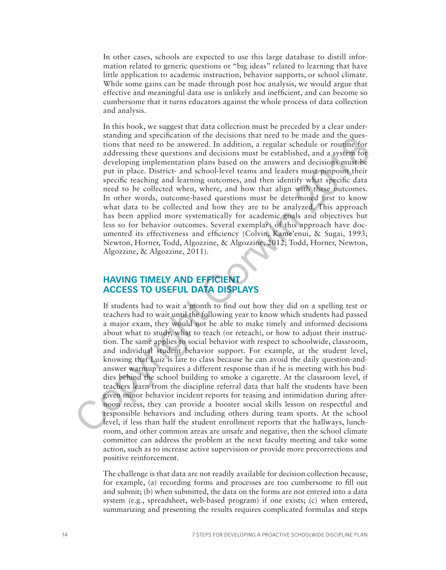In other cases, schools are expected to use this large database to distill information related to generic questions or "big ideas" related to learning that have little application to academic instruction, behavior supports, or school climate. While some gains can be made through post hoc analysis, we would argue that effective and meaningful data use is unlikely and inefficient, and can become so cumbersome that it turns educators against the whole process of data collection and analysis.

In this book, we suggest that data collection must be preceded by a clear understanding and specification of the decisions that need to be made and the questions that need to be answered. In addition, a regular schedule or routine for addressing these questions and decisions must be established, and a system for developing implementation plans based on the answers and decisions must be put in place. District- and school-level teams and leaders must pinpoint their specific teaching and learning outcomes, and then identify what specific data need to be collected when, where, and how that align with these outcomes. In other words, outcome-based questions must be determined first to know what data to be collected and how they are to be analyzed. This approach has been applied more systematically for academic goals and objectives but less so for behavior outcomes. Several exemplars of this approach have documented its effectiveness and efficiency (Colvin, Kame'enui, & Sugai, 1993; Newton, Horner, Todd, Algozzine, & Algozzine, 2012; Todd, Horner, Newton, Algozzine, & Algozzine, 2011).

## **HAVING TIMELY AND EFFICIENT ACCESS TO USEFUL DATA DISPLAYS**

If students had to wait a month to find out how they did on a spelling test or teachers had to wait until the following year to know which students had passed a major exam, they would not be able to make timely and informed decisions about what to study, what to teach (or reteach), or how to adjust their instruction. The same applies to social behavior with respect to schoolwide, classroom, and individual student behavior support. For example, at the student level, knowing that Luiz is late to class because he can avoid the daily question-andanswer warmup requires a different response than if he is meeting with his buddies behind the school building to smoke a cigarette. At the classroom level, if teachers learn from the discipline referral data that half the students have been given minor behavior incident reports for teasing and intimidation during afternoon recess, they can provide a booster social skills lesson on respectful and responsible behaviors and including others during team sports. At the school level, if less than half the student enrollment reports that the hallways, lunchroom, and other common areas are unsafe and negative, then the school climate committee can address the problem at the next faculty meeting and take some action, such as to increase active supervision or provide more precorrections and positive reinforcement. standing and spectration of the decisions that head to be make and the quest-<br>does that need to be answered. In addition, a regular schedule or routine for<br>addecesing these questions and decisions must be cestablished, an

The challenge is that data are not readily available for decision collection because, for example, (a) recording forms and processes are too cumbersome to fill out and submit; (b) when submitted, the data on the forms are not entered into a data system (e.g., spreadsheet, web-based program) if one exists; (c) when entered, summarizing and presenting the results requires complicated formulas and steps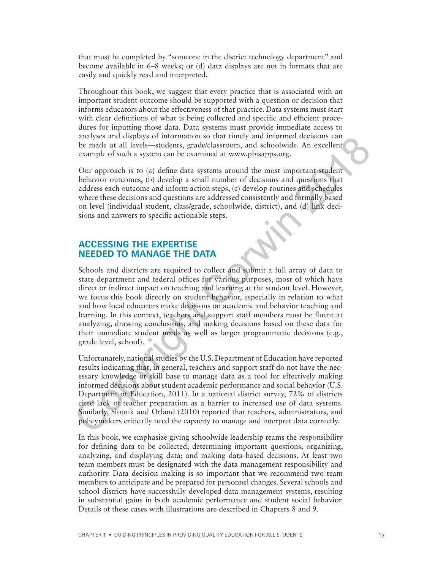that must be completed by "someone in the district technology department" and become available in 6–8 weeks; or (d) data displays are not in formats that are easily and quickly read and interpreted.

Throughout this book, we suggest that every practice that is associated with an important student outcome should be supported with a question or decision that informs educators about the effectiveness of that practice. Data systems must start with clear definitions of what is being collected and specific and efficient procedures for inputting those data. Data systems must provide immediate access to analyses and displays of information so that timely and informed decisions can be made at all levels—students, grade/classroom, and schoolwide. An excellent example of such a system can be examined at www.pbisapps.org.

Our approach is to (a) define data systems around the most important student behavior outcomes, (b) develop a small number of decisions and questions that address each outcome and inform action steps, (c) develop routines and schedules where these decisions and questions are addressed consistently and formally based on level (individual student, class/grade, schoolwide, district), and (d) link decisions and answers to specific actionable steps.

## **ACCESSING THE EXPERTISE NEEDED TO MANAGE THE DATA**

Schools and districts are required to collect and submit a full array of data to state department and federal offices for various purposes, most of which have direct or indirect impact on teaching and learning at the student level. However, we focus this book directly on student behavior, especially in relation to what and how local educators make decisions on academic and behavior teaching and learning. In this context, teachers and support staff members must be fluent at analyzing, drawing conclusions, and making decisions based on these data for their immediate student needs as well as larger programmatic decisions (e.g., grade level, school). anayses and displays of information so that timely and informed decisions can<br>be made at all levels—students, grade/classroom, and schoolwide. An excellent<br>example of such a system can be examined at www.pbisapps.org.<br>Our

Unfortunately, national studies by the U.S. Department of Education have reported results indicating that, in general, teachers and support staff do not have the necessary knowledge or skill base to manage data as a tool for effectively making informed decisions about student academic performance and social behavior (U.S. Department of Education, 2011). In a national district survey, 72% of districts cited lack of teacher preparation as a barrier to increased use of data systems. Similarly, Slotnik and Orland (2010) reported that teachers, administrators, and policymakers critically need the capacity to manage and interpret data correctly.

In this book, we emphasize giving schoolwide leadership teams the responsibility for defining data to be collected; determining important questions; organizing, analyzing, and displaying data; and making data-based decisions. At least two team members must be designated with the data management responsibility and authority. Data decision making is so important that we recommend two team members to anticipate and be prepared for personnel changes. Several schools and school districts have successfully developed data management systems, resulting in substantial gains in both academic performance and student social behavior. Details of these cases with illustrations are described in Chapters 8 and 9.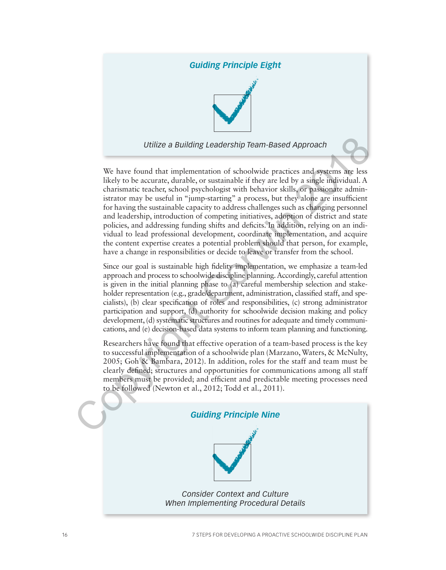## *Guiding Principle Eight*



*Utilize a Building Leadership Team-Based Approach*

We have found that implementation of schoolwide practices and systems are less likely to be accurate, durable, or sustainable if they are led by a single individual. A charismatic teacher, school psychologist with behavior skills, or passionate administrator may be useful in "jump-starting" a process, but they alone are insufficient for having the sustainable capacity to address challenges such as changing personnel and leadership, introduction of competing initiatives, adoption of district and state policies, and addressing funding shifts and deficits. In addition, relying on an individual to lead professional development, coordinate implementation, and acquire the content expertise creates a potential problem should that person, for example, have a change in responsibilities or decide to leave or transfer from the school. Utilize a Building Leadership Team-Based Approach<br>We have found that implementation of schoolwide practices and systems are less<br>likely to be accurate, durable, or sustainable if they are led by a single individual. A<br>cha

Since our goal is sustainable high fidelity implementation, we emphasize a team-led approach and process to schoolwide discipline planning. Accordingly, careful attention is given in the initial planning phase to (a) careful membership selection and stakeholder representation (e.g., grade/department, administration, classified staff, and specialists), (b) clear specification of roles and responsibilities, (c) strong administrator participation and support, (d) authority for schoolwide decision making and policy development, (d) systematic structures and routines for adequate and timely communications, and (e) decision-based data systems to inform team planning and functioning.

Researchers have found that effective operation of a team-based process is the key to successful implementation of a schoolwide plan (Marzano, Waters, & McNulty, 2005; Goh & Bambara, 2012). In addition, roles for the staff and team must be clearly defined; structures and opportunities for communications among all staff members must be provided; and efficient and predictable meeting processes need to be followed (Newton et al., 2012; Todd et al., 2011).

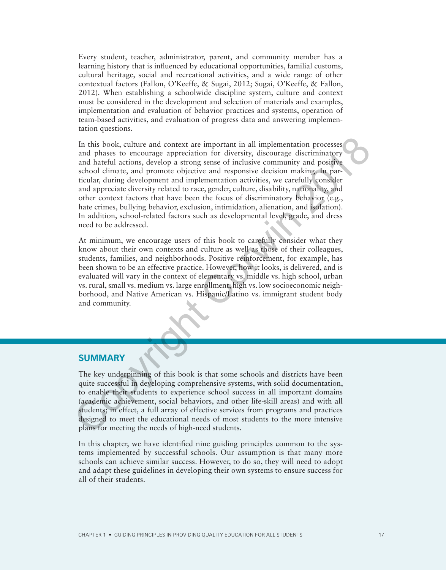Every student, teacher, administrator, parent, and community member has a learning history that is influenced by educational opportunities, familial customs, cultural heritage, social and recreational activities, and a wide range of other contextual factors (Fallon, O'Keeffe, & Sugai, 2012; Sugai, O'Keeffe, & Fallon, 2012). When establishing a schoolwide discipline system, culture and context must be considered in the development and selection of materials and examples, implementation and evaluation of behavior practices and systems, operation of team-based activities, and evaluation of progress data and answering implementation questions.

In this book, culture and context are important in all implementation processes and phases to encourage appreciation for diversity, discourage discriminatory and hateful actions, develop a strong sense of inclusive community and positive school climate, and promote objective and responsive decision making. In particular, during development and implementation activities, we carefully consider and appreciate diversity related to race, gender, culture, disability, nationality, and other context factors that have been the focus of discriminatory behavior (e.g., hate crimes, bullying behavior, exclusion, intimidation, alienation, and isolation). In addition, school-related factors such as developmental level, grade, and dress need to be addressed. In this book, culture and context are important in all implementation processes<br>and phases to cneourage approximion for diversity, discourage discriminatory<br>and hateful actions, develop a strong sense of inclusive communit

At minimum, we encourage users of this book to carefully consider what they know about their own contexts and culture as well as those of their colleagues, students, families, and neighborhoods. Positive reinforcement, for example, has been shown to be an effective practice. However, how it looks, is delivered, and is evaluated will vary in the context of elementary vs. middle vs. high school, urban vs. rural, small vs. medium vs. large enrollment, high vs. low socioeconomic neighborhood, and Native American vs. Hispanic/Latino vs. immigrant student body and community.

#### **SUMMARY**

The key underpinning of this book is that some schools and districts have been quite successful in developing comprehensive systems, with solid documentation, to enable their students to experience school success in all important domains (academic achievement, social behaviors, and other life-skill areas) and with all students; in effect, a full array of effective services from programs and practices designed to meet the educational needs of most students to the more intensive plans for meeting the needs of high-need students.

In this chapter, we have identified nine guiding principles common to the systems implemented by successful schools. Our assumption is that many more schools can achieve similar success. However, to do so, they will need to adopt and adapt these guidelines in developing their own systems to ensure success for all of their students.